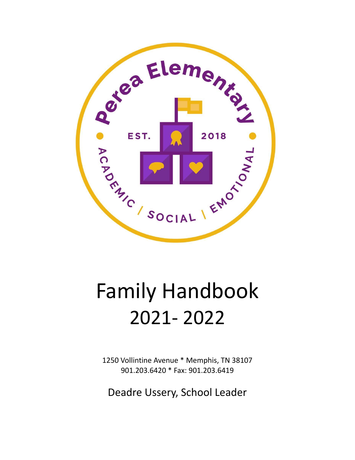

# Family Handbook 2021- 2022

1250 Vollintine Avenue \* Memphis, TN 38107 901.203.6420 \* Fax: 901.203.6419

Deadre Ussery, School Leader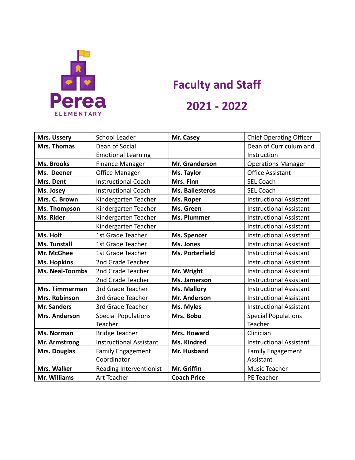

# **Faculty and Staff 2021 - 2022**

| Mrs. Ussery                                             | School Leader                  | Mr. Casey<br><b>Chief Operating Officer</b>       |                                |  |
|---------------------------------------------------------|--------------------------------|---------------------------------------------------|--------------------------------|--|
| Mrs. Thomas                                             | Dean of Social                 |                                                   | Dean of Curriculum and         |  |
|                                                         | <b>Emotional Learning</b>      |                                                   | Instruction                    |  |
| <b>Ms. Brooks</b>                                       | <b>Finance Manager</b>         | Mr. Granderson                                    | <b>Operations Manager</b>      |  |
| Ms. Deener                                              | <b>Office Manager</b>          | <b>Office Assistant</b><br>Ms. Taylor             |                                |  |
| Mrs. Dent                                               | <b>Instructional Coach</b>     | Mrs. Finn<br><b>SEL Coach</b>                     |                                |  |
| Ms. Josey                                               | <b>Instructional Coach</b>     | <b>Ms. Ballesteros</b><br><b>SEL Coach</b>        |                                |  |
| Mrs. C. Brown                                           | Kindergarten Teacher           | <b>Instructional Assistant</b><br>Ms. Roper       |                                |  |
| Ms. Thompson                                            | Kindergarten Teacher           | Ms. Green<br><b>Instructional Assistant</b>       |                                |  |
| Ms. Rider                                               | Kindergarten Teacher           | <b>Ms. Plummer</b>                                | <b>Instructional Assistant</b> |  |
|                                                         | Kindergarten Teacher           |                                                   | <b>Instructional Assistant</b> |  |
| Ms. Holt                                                | 1st Grade Teacher              | Ms. Spencer<br><b>Instructional Assistant</b>     |                                |  |
| Ms. Tunstall                                            | 1st Grade Teacher              | Ms. Jones<br><b>Instructional Assistant</b>       |                                |  |
| Mr. McGhee                                              | 1st Grade Teacher              | Ms. Porterfield<br><b>Instructional Assistant</b> |                                |  |
| <b>Ms. Hopkins</b>                                      | 2nd Grade Teacher              |                                                   | <b>Instructional Assistant</b> |  |
| <b>Ms. Neal-Toombs</b>                                  | 2nd Grade Teacher              | Mr. Wright                                        | <b>Instructional Assistant</b> |  |
|                                                         | 2nd Grade Teacher              | Ms. Jamerson                                      | <b>Instructional Assistant</b> |  |
| Mrs. Timmerman                                          | 3rd Grade Teacher              | Ms. Mallory<br><b>Instructional Assistant</b>     |                                |  |
| Mrs. Robinson                                           | 3rd Grade Teacher              | Mr. Anderson<br><b>Instructional Assistant</b>    |                                |  |
| <b>Mr. Sanders</b>                                      | 3rd Grade Teacher              | <b>Instructional Assistant</b><br>Ms. Myles       |                                |  |
| <b>Mrs. Anderson</b>                                    | <b>Special Populations</b>     | Mrs. Bobo                                         | <b>Special Populations</b>     |  |
|                                                         | Teacher                        |                                                   | Teacher                        |  |
| Ms. Norman                                              | <b>Bridge Teacher</b>          | <b>Mrs. Howard</b><br>Clinician                   |                                |  |
| Mr. Armstrong                                           | <b>Instructional Assistant</b> | Ms. Kindred                                       | <b>Instructional Assistant</b> |  |
| Mrs. Douglas<br><b>Family Engagement</b><br>Mr. Husband |                                |                                                   | <b>Family Engagement</b>       |  |
|                                                         | Coordinator                    |                                                   | Assistant                      |  |
| Mrs. Walker                                             | Reading Interventionist        | Mr. Griffin                                       | Music Teacher                  |  |
| <b>Mr. Williams</b>                                     | Art Teacher                    | <b>Coach Price</b>                                | PE Teacher                     |  |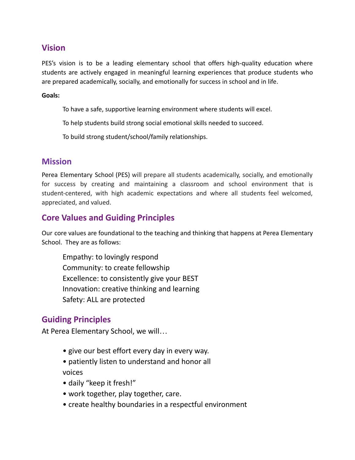# **Vision**

PES's vision is to be a leading elementary school that offers high-quality education where students are actively engaged in meaningful learning experiences that produce students who are prepared academically, socially, and emotionally for success in school and in life.

#### **Goals:**

To have a safe, supportive learning environment where students will excel.

To help students build strong social emotional skills needed to succeed.

To build strong student/school/family relationships.

# **Mission**

Perea Elementary School (PES) will prepare all students academically, socially, and emotionally for success by creating and maintaining a classroom and school environment that is student-centered, with high academic expectations and where all students feel welcomed, appreciated, and valued.

# **Core Values and Guiding Principles**

Our core values are foundational to the teaching and thinking that happens at Perea Elementary School. They are as follows:

Empathy: to lovingly respond Community: to create fellowship Excellence: to consistently give your BEST Innovation: creative thinking and learning Safety: ALL are protected

# **Guiding Principles**

At Perea Elementary School, we will…

- give our best effort every day in every way.
- patiently listen to understand and honor all

voices

- daily "keep it fresh!"
- work together, play together, care.
- create healthy boundaries in a respectful environment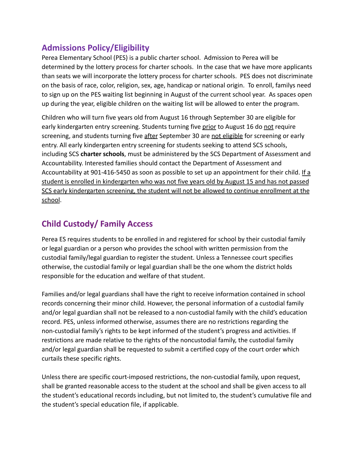# **Admissions Policy/Eligibility**

Perea Elementary School (PES) is a public charter school. Admission to Perea will be determined by the lottery process for charter schools. In the case that we have more applicants than seats we will incorporate the lottery process for charter schools. PES does not discriminate on the basis of race, color, religion, sex, age, handicap or national origin. To enroll, familys need to sign up on the PES waiting list beginning in August of the current school year. As spaces open up during the year, eligible children on the waiting list will be allowed to enter the program.

Children who will turn five years old from August 16 through September 30 are eligible for early kindergarten entry screening. Students turning five prior to August 16 do not require screening, and students turning five after September 30 are not eligible for screening or early entry. All early kindergarten entry screening for students seeking to attend SCS schools, including SCS **charter schools**, must be administered by the SCS Department of Assessment and Accountability. Interested families should contact the Department of Assessment and Accountability at 901-416-5450 as soon as possible to set up an appointment for their child. If a student is enrolled in kindergarten who was not five years old by August 15 and has not passed SCS early kindergarten screening, the student will not be allowed to continue enrollment at the school.

# **Child Custody/ Family Access**

Perea ES requires students to be enrolled in and registered for school by their custodial family or legal guardian or a person who provides the school with written permission from the custodial family/legal guardian to register the student. Unless a Tennessee court specifies otherwise, the custodial family or legal guardian shall be the one whom the district holds responsible for the education and welfare of that student.

Families and/or legal guardians shall have the right to receive information contained in school records concerning their minor child. However, the personal information of a custodial family and/or legal guardian shall not be released to a non-custodial family with the child's education record. PES, unless informed otherwise, assumes there are no restrictions regarding the non-custodial family's rights to be kept informed of the student's progress and activities. If restrictions are made relative to the rights of the noncustodial family, the custodial family and/or legal guardian shall be requested to submit a certified copy of the court order which curtails these specific rights.

Unless there are specific court-imposed restrictions, the non-custodial family, upon request, shall be granted reasonable access to the student at the school and shall be given access to all the student's educational records including, but not limited to, the student's cumulative file and the student's special education file, if applicable.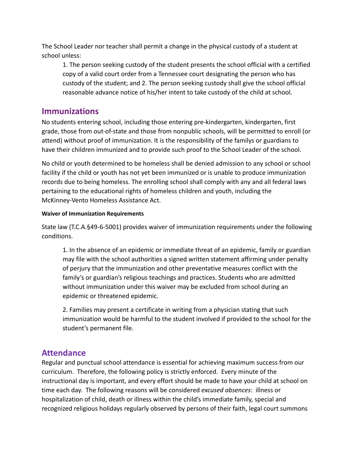The School Leader nor teacher shall permit a change in the physical custody of a student at school unless:

1. The person seeking custody of the student presents the school official with a certified copy of a valid court order from a Tennessee court designating the person who has custody of the student; and 2. The person seeking custody shall give the school official reasonable advance notice of his/her intent to take custody of the child at school.

# **Immunizations**

No students entering school, including those entering pre-kindergarten, kindergarten, first grade, those from out-of-state and those from nonpublic schools, will be permitted to enroll (or attend) without proof of immunization. It is the responsibility of the familys or guardians to have their children immunized and to provide such proof to the School Leader of the school.

No child or youth determined to be homeless shall be denied admission to any school or school facility if the child or youth has not yet been immunized or is unable to produce immunization records due to being homeless. The enrolling school shall comply with any and all federal laws pertaining to the educational rights of homeless children and youth, including the McKinney-Vento Homeless Assistance Act.

#### **Waiver of Immunization Requirements**

State law (T.C.A.§49-6-5001) provides waiver of immunization requirements under the following conditions.

1. In the absence of an epidemic or immediate threat of an epidemic, family or guardian may file with the school authorities a signed written statement affirming under penalty of perjury that the immunization and other preventative measures conflict with the family's or guardian's religious teachings and practices. Students who are admitted without immunization under this waiver may be excluded from school during an epidemic or threatened epidemic.

2. Families may present a certificate in writing from a physician stating that such immunization would be harmful to the student involved if provided to the school for the student's permanent file.

# **Attendance**

Regular and punctual school attendance is essential for achieving maximum success from our curriculum. Therefore, the following policy is strictly enforced. Every minute of the instructional day is important, and every effort should be made to have your child at school on time each day. The following reasons will be considered *excused absences*: illness or hospitalization of child, death or illness within the child's immediate family, special and recognized religious holidays regularly observed by persons of their faith, legal court summons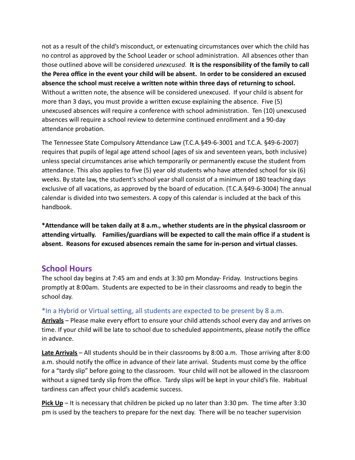not as a result of the child's misconduct, or extenuating circumstances over which the child has no control as approved by the School Leader or school administration. All absences other than those outlined above will be considered *unexcused*. **It is the responsibility of the family to call the Perea office in the event your child will be absent. In order to be considered an excused absence the school must receive a written note within three days of returning to school.** Without a written note, the absence will be considered unexcused. If your child is absent for more than 3 days, you must provide a written excuse explaining the absence. Five (5) unexcused absences will require a conference with school administration. Ten (10) unexcused absences will require a school review to determine continued enrollment and a 90-day attendance probation.

The Tennessee State Compulsory Attendance Law (T.C.A.§49-6-3001 and T.C.A. §49-6-2007) requires that pupils of legal age attend school (ages of six and seventeen years, both inclusive) unless special circumstances arise which temporarily or permanently excuse the student from attendance. This also applies to five (5) year old students who have attended school for six (6) weeks. By state law, the student's school year shall consist of a minimum of 180 teaching days exclusive of all vacations, as approved by the board of education. (T.C.A.§49-6-3004) The annual calendar is divided into two semesters. A copy of this calendar is included at the back of this handbook.

**\*Attendance will be taken daily at 8 a.m., whether students are in the physical classroom or attending virtually. Families/guardians will be expected to call the main office if a student is absent. Reasons for excused absences remain the same for in-person and virtual classes.** 

#### **School Hours**

The school day begins at 7:45 am and ends at 3:30 pm Monday- Friday. Instructions begins promptly at 8:00am. Students are expected to be in their classrooms and ready to begin the school day.

\*In a Hybrid or Virtual setting, all students are expected to be present by 8 a.m.

**Arrivals** – Please make every effort to ensure your child attends school every day and arrives on time. If your child will be late to school due to scheduled appointments, please notify the office in advance.

**Late Arrivals** – All students should be in their classrooms by 8:00 a.m. Those arriving after 8:00 a.m. should notify the office in advance of their late arrival. Students must come by the office for a "tardy slip" before going to the classroom. Your child will not be allowed in the classroom without a signed tardy slip from the office. Tardy slips will be kept in your child's file. Habitual tardiness can affect your child's academic success.

**Pick Up** – It is necessary that children be picked up no later than 3:30 pm. The time after 3:30 pm is used by the teachers to prepare for the next day. There will be no teacher supervision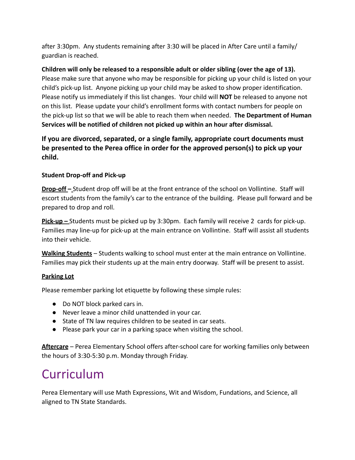after 3:30pm. Any students remaining after 3:30 will be placed in After Care until a family/ guardian is reached.

**Children will only be released to a responsible adult or older sibling (over the age of 13).** Please make sure that anyone who may be responsible for picking up your child is listed on your child's pick-up list. Anyone picking up your child may be asked to show proper identification. Please notify us immediately if this list changes. Your child will **NOT** be released to anyone not on this list. Please update your child's enrollment forms with contact numbers for people on the pick-up list so that we will be able to reach them when needed. **The Department of Human Services will be notified of children not picked up within an hour after dismissal.**

# **If you are divorced, separated, or a single family, appropriate court documents must be presented to the Perea office in order for the approved person(s) to pick up your child.**

#### **Student Drop-off and Pick-up**

**Drop-off –** Student drop off will be at the front entrance of the school on Vollintine. Staff will escort students from the family's car to the entrance of the building. Please pull forward and be prepared to drop and roll.

**Pick-up –** Students must be picked up by 3:30pm. Each family will receive 2 cards for pick-up. Families may line-up for pick-up at the main entrance on Vollintine. Staff will assist all students into their vehicle.

**Walking Students** – Students walking to school must enter at the main entrance on Vollintine. Families may pick their students up at the main entry doorway. Staff will be present to assist.

#### **Parking Lot**

Please remember parking lot etiquette by following these simple rules:

- Do NOT block parked cars in.
- Never leave a minor child unattended in your car.
- State of TN law requires children to be seated in car seats.
- Please park your car in a parking space when visiting the school.

**Aftercare** – Perea Elementary School offers after-school care for working families only between the hours of 3:30-5:30 p.m. Monday through Friday.

# Curriculum

Perea Elementary will use Math Expressions, Wit and Wisdom, Fundations, and Science, all aligned to TN State Standards.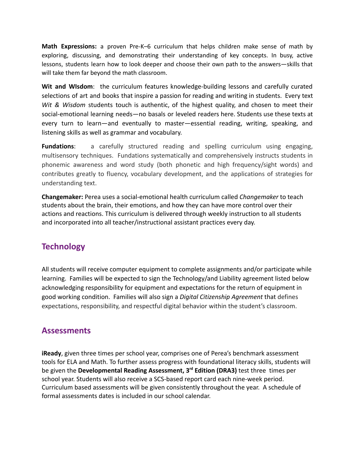**Math Expressions:** a proven Pre-K–6 curriculum that helps children make sense of math by exploring, discussing, and demonstrating their understanding of key concepts. In busy, active lessons, students learn how to look deeper and choose their own path to the answers—skills that will take them far beyond the math classroom.

**Wit and WIsdom**: the curriculum features knowledge-building lessons and carefully curated selections of art and books that inspire a passion for reading and writing in students. Every text *Wit & Wisdom* students touch is authentic, of the highest quality, and chosen to meet their social-emotional learning needs—no basals or leveled readers here. Students use these texts at every turn to learn—and eventually to master—essential reading, writing, speaking, and listening skills as well as grammar and vocabulary.

**Fundations**: a carefully structured reading and spelling curriculum using engaging, multisensory techniques. Fundations systematically and comprehensively instructs students in phonemic awareness and word study (both phonetic and high frequency/sight words) and contributes greatly to fluency, vocabulary development, and the applications of strategies for understanding text.

**Changemaker:** Perea uses a social-emotional health curriculum called *Changemaker* to teach students about the brain, their emotions, and how they can have more control over their actions and reactions. This curriculum is delivered through weekly instruction to all students and incorporated into all teacher/instructional assistant practices every day.

# **Technology**

All students will receive computer equipment to complete assignments and/or participate while learning. Families will be expected to sign the Technology/and Liability agreement listed below acknowledging responsibility for equipment and expectations for the return of equipment in good working condition. Families will also sign a *Digital Citizenship Agreement* that defines expectations, responsibility, and respectful digital behavior within the student's classroom.

# **Assessments**

**iReady**, given three times per school year, comprises one of Perea's benchmark assessment tools for ELA and Math. To further assess progress with foundational literacy skills, students will be given the **Developmental Reading Assessment, 3rd Edition (DRA3)** test three times per school year. Students will also receive a SCS-based report card each nine-week period. Curriculum based assessments will be given consistently throughout the year. A schedule of formal assessments dates is included in our school calendar.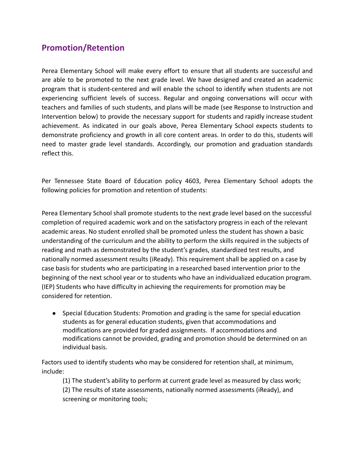# **Promotion/Retention**

Perea Elementary School will make every effort to ensure that all students are successful and are able to be promoted to the next grade level. We have designed and created an academic program that is student-centered and will enable the school to identify when students are not experiencing sufficient levels of success. Regular and ongoing conversations will occur with teachers and families of such students, and plans will be made (see Response to Instruction and Intervention below) to provide the necessary support for students and rapidly increase student achievement. As indicated in our goals above, Perea Elementary School expects students to demonstrate proficiency and growth in all core content areas. In order to do this, students will need to master grade level standards. Accordingly, our promotion and graduation standards reflect this.

Per Tennessee State Board of Education policy 4603, Perea Elementary School adopts the following policies for promotion and retention of students:

Perea Elementary School shall promote students to the next grade level based on the successful completion of required academic work and on the satisfactory progress in each of the relevant academic areas. No student enrolled shall be promoted unless the student has shown a basic understanding of the curriculum and the ability to perform the skills required in the subjects of reading and math as demonstrated by the student's grades, standardized test results, and nationally normed assessment results (iReady). This requirement shall be applied on a case by case basis for students who are participating in a researched based intervention prior to the beginning of the next school year or to students who have an individualized education program. (IEP) Students who have difficulty in achieving the requirements for promotion may be considered for retention.

● Special Education Students: Promotion and grading is the same for special education students as for general education students, given that accommodations and modifications are provided for graded assignments. If accommodations and modifications cannot be provided, grading and promotion should be determined on an individual basis.

Factors used to identify students who may be considered for retention shall, at minimum, include:

(1) The student's ability to perform at current grade level as measured by class work;

(2) The results of state assessments, nationally normed assessments (iReady), and screening or monitoring tools;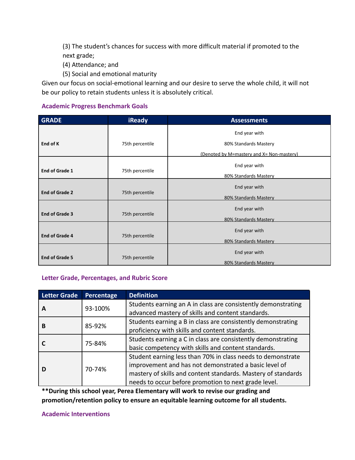(3) The student's chances for success with more difficult material if promoted to the next grade;

- (4) Attendance; and
- (5) Social and emotional maturity

Given our focus on social-emotional learning and our desire to serve the whole child, it will not be our policy to retain students unless it is absolutely critical.

#### **Academic Progress Benchmark Goals**

| <b>GRADE</b>          | <b>iReady</b>   | <b>Assessments</b>                        |
|-----------------------|-----------------|-------------------------------------------|
|                       |                 | End year with                             |
| End of K              | 75th percentile | 80% Standards Mastery                     |
|                       |                 |                                           |
|                       |                 | (Denoted by M=mastery and X= Non-mastery) |
|                       | 75th percentile | End year with                             |
| <b>End of Grade 1</b> |                 | 80% Standards Mastery                     |
|                       |                 | End year with                             |
| <b>End of Grade 2</b> | 75th percentile | 80% Standards Mastery                     |
|                       |                 |                                           |
| <b>End of Grade 3</b> | 75th percentile | End year with                             |
|                       |                 | 80% Standards Mastery                     |
| <b>End of Grade 4</b> | 75th percentile | End year with                             |
|                       |                 |                                           |
|                       |                 | 80% Standards Mastery                     |
| <b>End of Grade 5</b> | 75th percentile | End year with                             |
|                       |                 | 80% Standards Mastery                     |

#### **Letter Grade, Percentages, and Rubric Score**

| <b>Letter Grade</b> | <b>Percentage</b> | <b>Definition</b>                                                                                                                                                                                                                             |
|---------------------|-------------------|-----------------------------------------------------------------------------------------------------------------------------------------------------------------------------------------------------------------------------------------------|
|                     | 93-100%           | Students earning an A in class are consistently demonstrating<br>advanced mastery of skills and content standards.                                                                                                                            |
| B                   | 85-92%            | Students earning a B in class are consistently demonstrating<br>proficiency with skills and content standards.                                                                                                                                |
|                     | 75-84%            | Students earning a C in class are consistently demonstrating<br>basic competency with skills and content standards.                                                                                                                           |
|                     | 70-74%            | Student earning less than 70% in class needs to demonstrate<br>improvement and has not demonstrated a basic level of<br>mastery of skills and content standards. Mastery of standards<br>needs to occur before promotion to next grade level. |

**\*\*During this school year, Perea Elementary will work to revise our grading and promotion/retention policy to ensure an equitable learning outcome for all students.**

#### **Academic Interventions**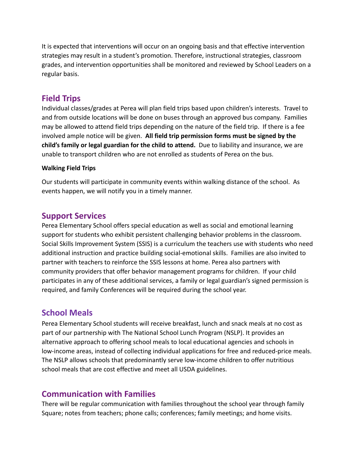It is expected that interventions will occur on an ongoing basis and that effective intervention strategies may result in a student's promotion. Therefore, instructional strategies, classroom grades, and intervention opportunities shall be monitored and reviewed by School Leaders on a regular basis.

# **Field Trips**

Individual classes/grades at Perea will plan field trips based upon children's interests. Travel to and from outside locations will be done on buses through an approved bus company. Families may be allowed to attend field trips depending on the nature of the field trip. If there is a fee involved ample notice will be given. **All field trip permission forms must be signed by the child's family or legal guardian for the child to attend.** Due to liability and insurance, we are unable to transport children who are not enrolled as students of Perea on the bus.

#### **Walking Field Trips**

Our students will participate in community events within walking distance of the school. As events happen, we will notify you in a timely manner.

# **Support Services**

Perea Elementary School offers special education as well as social and emotional learning support for students who exhibit persistent challenging behavior problems in the classroom. Social Skills Improvement System (SSIS) is a curriculum the teachers use with students who need additional instruction and practice building social-emotional skills. Families are also invited to partner with teachers to reinforce the SSIS lessons at home. Perea also partners with community providers that offer behavior management programs for children. If your child participates in any of these additional services, a family or legal guardian's signed permission is required, and family Conferences will be required during the school year.

# **School Meals**

Perea Elementary School students will receive breakfast, lunch and snack meals at no cost as part of our partnership with The National School Lunch Program (NSLP). It provides an alternative approach to offering school meals to local educational agencies and schools in low-income areas, instead of collecting individual applications for free and reduced-price meals. The NSLP allows schools that predominantly serve low-income children to offer nutritious school meals that are cost effective and meet all USDA guidelines.

# **Communication with Families**

There will be regular communication with families throughout the school year through family Square; notes from teachers; phone calls; conferences; family meetings; and home visits.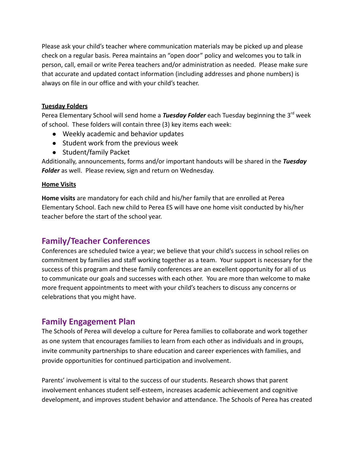Please ask your child's teacher where communication materials may be picked up and please check on a regular basis. Perea maintains an "open door" policy and welcomes you to talk in person, call, email or write Perea teachers and/or administration as needed. Please make sure that accurate and updated contact information (including addresses and phone numbers) is always on file in our office and with your child's teacher.

#### **Tuesday Folders**

Perea Elementary School will send home a *Tuesday Folder* each Tuesday beginning the 3<sup>rd</sup> week of school. These folders will contain three (3) key items each week:

- Weekly academic and behavior updates
- Student work from the previous week
- Student/family Packet

Additionally, announcements, forms and/or important handouts will be shared in the *Tuesday Folder* as well. Please review, sign and return on Wednesday.

#### **Home Visits**

**Home visits** are mandatory for each child and his/her family that are enrolled at Perea Elementary School. Each new child to Perea ES will have one home visit conducted by his/her teacher before the start of the school year.

# **Family/Teacher Conferences**

Conferences are scheduled twice a year; we believe that your child's success in school relies on commitment by families and staff working together as a team. Your support is necessary for the success of this program and these family conferences are an excellent opportunity for all of us to communicate our goals and successes with each other. You are more than welcome to make more frequent appointments to meet with your child's teachers to discuss any concerns or celebrations that you might have.

# **Family Engagement Plan**

The Schools of Perea will develop a culture for Perea families to collaborate and work together as one system that encourages families to learn from each other as individuals and in groups, invite community partnerships to share education and career experiences with families, and provide opportunities for continued participation and involvement.

Parents' involvement is vital to the success of our students. Research shows that parent involvement enhances student self-esteem, increases academic achievement and cognitive development, and improves student behavior and attendance. The Schools of Perea has created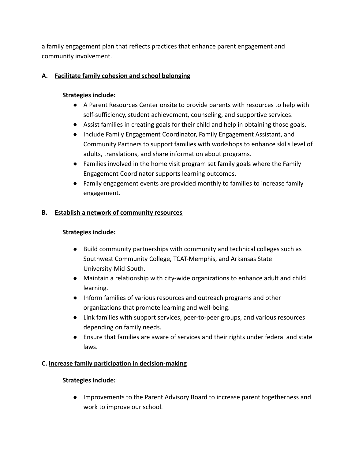a family engagement plan that reflects practices that enhance parent engagement and community involvement.

#### **A. Facilitate family cohesion and school belonging**

#### **Strategies include:**

- A Parent Resources Center onsite to provide parents with resources to help with self-sufficiency, student achievement, counseling, and supportive services.
- Assist families in creating goals for their child and help in obtaining those goals.
- Include Family Engagement Coordinator, Family Engagement Assistant, and Community Partners to support families with workshops to enhance skills level of adults, translations, and share information about programs.
- Families involved in the home visit program set family goals where the Family Engagement Coordinator supports learning outcomes.
- Family engagement events are provided monthly to families to increase family engagement.

#### **B. Establish a network of community resources**

#### **Strategies include:**

- Build community partnerships with community and technical colleges such as Southwest Community College, TCAT-Memphis, and Arkansas State University-Mid-South.
- Maintain a relationship with city-wide organizations to enhance adult and child learning.
- Inform families of various resources and outreach programs and other organizations that promote learning and well-being.
- Link families with support services, peer-to-peer groups, and various resources depending on family needs.
- Ensure that families are aware of services and their rights under federal and state laws.

#### **C. Increase family participation in decision-making**

#### **Strategies include:**

● Improvements to the Parent Advisory Board to increase parent togetherness and work to improve our school.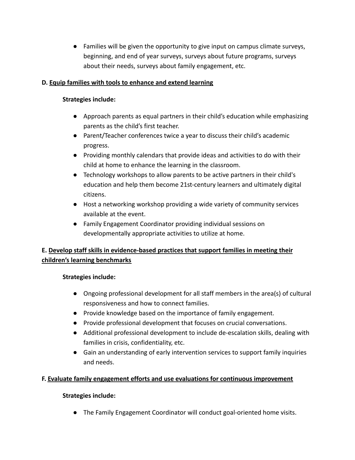● Families will be given the opportunity to give input on campus climate surveys, beginning, and end of year surveys, surveys about future programs, surveys about their needs, surveys about family engagement, etc.

#### **D. Equip families with tools to enhance and extend learning**

#### **Strategies include:**

- Approach parents as equal partners in their child's education while emphasizing parents as the child's first teacher.
- Parent/Teacher conferences twice a year to discuss their child's academic progress.
- Providing monthly calendars that provide ideas and activities to do with their child at home to enhance the learning in the classroom.
- Technology workshops to allow parents to be active partners in their child's education and help them become 21st-century learners and ultimately digital citizens.
- Host a networking workshop providing a wide variety of community services available at the event.
- Family Engagement Coordinator providing individual sessions on developmentally appropriate activities to utilize at home.

#### **E. Develop staff skills in evidence-based practices that support families in meeting their children's learning benchmarks**

#### **Strategies include:**

- Ongoing professional development for all staff members in the area(s) of cultural responsiveness and how to connect families.
- Provide knowledge based on the importance of family engagement.
- Provide professional development that focuses on crucial conversations.
- Additional professional development to include de-escalation skills, dealing with families in crisis, confidentiality, etc.
- Gain an understanding of early intervention services to support family inquiries and needs.

#### **F. Evaluate family engagement efforts and use evaluations for continuous improvement**

#### **Strategies include:**

● The Family Engagement Coordinator will conduct goal-oriented home visits.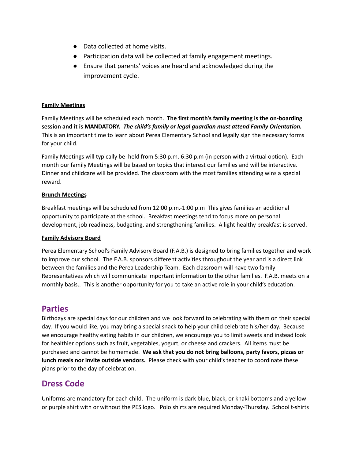- Data collected at home visits.
- Participation data will be collected at family engagement meetings.
- Ensure that parents' voices are heard and acknowledged during the improvement cycle.

#### **Family Meetings**

Family Meetings will be scheduled each month. **The first month's family meeting is the on-boarding session and it is MANDATORY.** *The child's family or legal guardian must attend Family Orientation.* This is an important time to learn about Perea Elementary School and legally sign the necessary forms for your child.

Family Meetings will typically be held from 5:30 p.m.-6:30 p.m (in person with a virtual option). Each month our family Meetings will be based on topics that interest our families and will be interactive. Dinner and childcare will be provided. The classroom with the most families attending wins a special reward.

#### **Brunch Meetings**

Breakfast meetings will be scheduled from 12:00 p.m.-1:00 p.m This gives families an additional opportunity to participate at the school. Breakfast meetings tend to focus more on personal development, job readiness, budgeting, and strengthening families. A light healthy breakfast is served.

#### **Family Advisory Board**

Perea Elementary School's Family Advisory Board (F.A.B.) is designed to bring families together and work to improve our school. The F.A.B. sponsors different activities throughout the year and is a direct link between the families and the Perea Leadership Team. Each classroom will have two family Representatives which will communicate important information to the other families. F.A.B. meets on a monthly basis.. This is another opportunity for you to take an active role in your child's education.

#### **Parties**

Birthdays are special days for our children and we look forward to celebrating with them on their special day. If you would like, you may bring a special snack to help your child celebrate his/her day. Because we encourage healthy eating habits in our children, we encourage you to limit sweets and instead look for healthier options such as fruit, vegetables, yogurt, or cheese and crackers. All items must be purchased and cannot be homemade. **We ask that you do not bring balloons, party favors, pizzas or lunch meals nor invite outside vendors.** Please check with your child's teacher to coordinate these plans prior to the day of celebration.

# **Dress Code**

Uniforms are mandatory for each child. The uniform is dark blue, black, or khaki bottoms and a yellow or purple shirt with or without the PES logo. Polo shirts are required Monday-Thursday. School t-shirts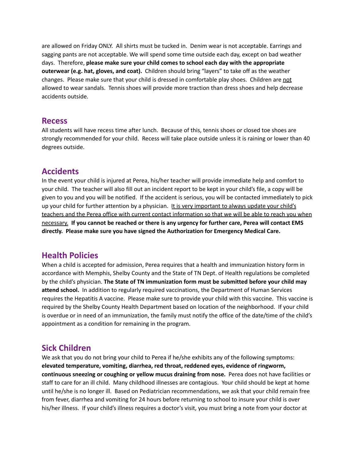are allowed on Friday ONLY. All shirts must be tucked in. Denim wear is not acceptable. Earrings and sagging pants are not acceptable. We will spend some time outside each day, except on bad weather days. Therefore, **please make sure your child comes to school each day with the appropriate outerwear (e.g. hat, gloves, and coat).** Children should bring "layers" to take off as the weather changes. Please make sure that your child is dressed in comfortable play shoes. Children are not allowed to wear sandals. Tennis shoes will provide more traction than dress shoes and help decrease accidents outside.

#### **Recess**

All students will have recess time after lunch. Because of this, tennis shoes or closed toe shoes are strongly recommended for your child. Recess will take place outside unless it is raining or lower than 40 degrees outside.

# **Accidents**

In the event your child is injured at Perea, his/her teacher will provide immediate help and comfort to your child. The teacher will also fill out an incident report to be kept in your child's file, a copy will be given to you and you will be notified. If the accident is serious, you will be contacted immediately to pick up your child for further attention by a physician. It is very important to always update your child's teachers and the Perea office with current contact information so that we will be able to reach you when necessary. **If you cannot be reached or there is any urgency for further care, Perea will contact EMS directly. Please make sure you have signed the Authorization for Emergency Medical Care.**

# **Health Policies**

When a child is accepted for admission, Perea requires that a health and immunization history form in accordance with Memphis, Shelby County and the State of TN Dept. of Health regulations be completed by the child's physician. **The State of TN immunization form must be submitted before your child may attend school.** In addition to regularly required vaccinations, the Department of Human Services requires the Hepatitis A vaccine. Please make sure to provide your child with this vaccine. This vaccine is required by the Shelby County Health Department based on location of the neighborhood. If your child is overdue or in need of an immunization, the family must notify the office of the date/time of the child's appointment as a condition for remaining in the program.

# **Sick Children**

We ask that you do not bring your child to Perea if he/she exhibits any of the following symptoms: **elevated temperature, vomiting, diarrhea, red throat, reddened eyes, evidence of ringworm, continuous sneezing or coughing or yellow mucus draining from nose.** Perea does not have facilities or staff to care for an ill child. Many childhood illnesses are contagious. Your child should be kept at home until he/she is no longer ill. Based on Pediatrician recommendations, we ask that your child remain free from fever, diarrhea and vomiting for 24 hours before returning to school to insure your child is over his/her illness. If your child's illness requires a doctor's visit, you must bring a note from your doctor at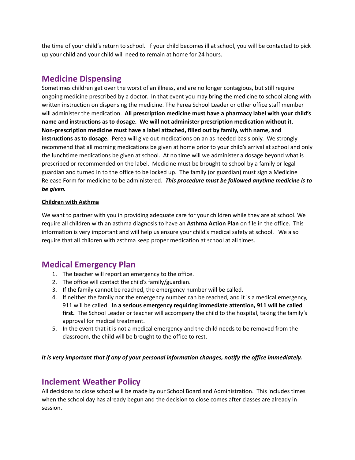the time of your child's return to school. If your child becomes ill at school, you will be contacted to pick up your child and your child will need to remain at home for 24 hours.

# **Medicine Dispensing**

Sometimes children get over the worst of an illness, and are no longer contagious, but still require ongoing medicine prescribed by a doctor. In that event you may bring the medicine to school along with written instruction on dispensing the medicine. The Perea School Leader or other office staff member will administer the medication. **All prescription medicine must have a pharmacy label with your child's name and instructions as to dosage. We will not administer prescription medication without it. Non-prescription medicine must have a label attached, filled out by family, with name, and instructions as to dosage.** Perea will give out medications on an as needed basis only. We strongly recommend that all morning medications be given at home prior to your child's arrival at school and only the lunchtime medications be given at school. At no time will we administer a dosage beyond what is prescribed or recommended on the label. Medicine must be brought to school by a family or legal guardian and turned in to the office to be locked up. The family (or guardian) must sign a Medicine Release Form for medicine to be administered. *This procedure must be followed anytime medicine is to be given.*

#### **Children with Asthma**

We want to partner with you in providing adequate care for your children while they are at school. We require all children with an asthma diagnosis to have an **Asthma Action Plan** on file in the office. This information is very important and will help us ensure your child's medical safety at school. We also require that all children with asthma keep proper medication at school at all times.

# **Medical Emergency Plan**

- 1. The teacher will report an emergency to the office.
- 2. The office will contact the child's family/guardian.
- 3. If the family cannot be reached, the emergency number will be called.
- 4. If neither the family nor the emergency number can be reached, and it is a medical emergency, 911 will be called. **In a serious emergency requiring immediate attention, 911 will be called first.** The School Leader or teacher will accompany the child to the hospital, taking the family's approval for medical treatment.
- 5. In the event that it is not a medical emergency and the child needs to be removed from the classroom, the child will be brought to the office to rest.

*It is very important that if any of your personal information changes, notify the office immediately.*

# **Inclement Weather Policy**

All decisions to close school will be made by our School Board and Administration. This includes times when the school day has already begun and the decision to close comes after classes are already in session.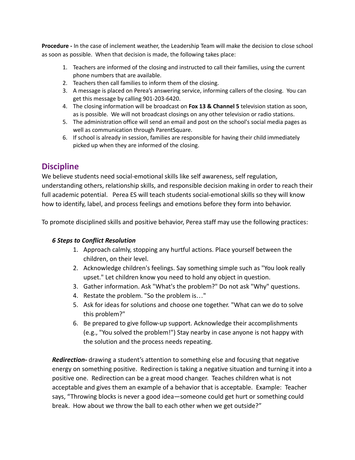**Procedure -** In the case of inclement weather, the Leadership Team will make the decision to close school as soon as possible. When that decision is made, the following takes place:

- 1. Teachers are informed of the closing and instructed to call their families, using the current phone numbers that are available.
- 2. Teachers then call families to inform them of the closing.
- 3. A message is placed on Perea's answering service, informing callers of the closing. You can get this message by calling 901-203-6420.
- 4. The closing information will be broadcast on **Fox 13 & Channel 5** television station as soon, as is possible. We will not broadcast closings on any other television or radio stations.
- 5. The administration office will send an email and post on the school's social media pages as well as communication through ParentSquare.
- 6. If school is already in session, families are responsible for having their child immediately picked up when they are informed of the closing.

# **Discipline**

We believe students need social-emotional skills like self awareness, self regulation, understanding others, relationship skills, and responsible decision making in order to reach their full academic potential. Perea ES will teach students social-emotional skills so they will know how to identify, label, and process feelings and emotions before they form into behavior.

To promote disciplined skills and positive behavior, Perea staff may use the following practices:

#### *6 Steps to Conflict Resolution*

- 1. Approach calmly, stopping any hurtful actions. Place yourself between the children, on their level.
- 2. Acknowledge children's feelings. Say something simple such as "You look really upset." Let children know you need to hold any object in question.
- 3. Gather information. Ask "What's the problem?" Do not ask "Why" questions.
- 4. Restate the problem. "So the problem is…"
- 5. Ask for ideas for solutions and choose one together. "What can we do to solve this problem?"
- 6. Be prepared to give follow-up support. Acknowledge their accomplishments (e.g., "You solved the problem!") Stay nearby in case anyone is not happy with the solution and the process needs repeating.

*Redirection***-** drawing a student's attention to something else and focusing that negative energy on something positive. Redirection is taking a negative situation and turning it into a positive one. Redirection can be a great mood changer. Teaches children what is not acceptable and gives them an example of a behavior that is acceptable. Example: Teacher says, "Throwing blocks is never a good idea—someone could get hurt or something could break. How about we throw the ball to each other when we get outside?"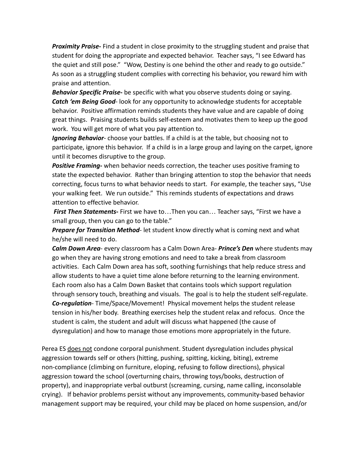*Proximity Praise***-** Find a student in close proximity to the struggling student and praise that student for doing the appropriate and expected behavior. Teacher says, "I see Edward has the quiet and still pose." "Wow, Destiny is one behind the other and ready to go outside." As soon as a struggling student complies with correcting his behavior, you reward him with praise and attention.

*Behavior Specific Praise***-** be specific with what you observe students doing or saying. *Catch 'em Being Good*- look for any opportunity to acknowledge students for acceptable behavior. Positive affirmation reminds students they have value and are capable of doing great things. Praising students builds self-esteem and motivates them to keep up the good work. You will get more of what you pay attention to.

*Ignoring Behavior*- choose your battles. If a child is at the table, but choosing not to participate, ignore this behavior. If a child is in a large group and laying on the carpet, ignore until it becomes disruptive to the group.

*Positive Framing-* when behavior needs correction, the teacher uses positive framing to state the expected behavior. Rather than bringing attention to stop the behavior that needs correcting, focus turns to what behavior needs to start. For example, the teacher says, "Use your walking feet. We run outside." This reminds students of expectations and draws attention to effective behavior.

*First Then Statements***-** First we have to…Then you can… Teacher says, "First we have a small group, then you can go to the table."

*Prepare for Transition Method*- let student know directly what is coming next and what he/she will need to do.

*Calm Down Area*- every classroom has a Calm Down Area- *Prince's Den* where students may go when they are having strong emotions and need to take a break from classroom activities. Each Calm Down area has soft, soothing furnishings that help reduce stress and allow students to have a quiet time alone before returning to the learning environment. Each room also has a Calm Down Basket that contains tools which support regulation through sensory touch, breathing and visuals. The goal is to help the student self-regulate. *Co-regulation*- Time/Space/Movement! Physical movement helps the student release tension in his/her body. Breathing exercises help the student relax and refocus. Once the student is calm, the student and adult will discuss what happened (the cause of dysregulation) and how to manage those emotions more appropriately in the future.

Perea ES does not condone corporal punishment. Student dysregulation includes physical aggression towards self or others (hitting, pushing, spitting, kicking, biting), extreme non-compliance (climbing on furniture, eloping, refusing to follow directions), physical aggression toward the school (overturning chairs, throwing toys/books, destruction of property), and inappropriate verbal outburst (screaming, cursing, name calling, inconsolable crying). If behavior problems persist without any improvements, community-based behavior management support may be required, your child may be placed on home suspension, and/or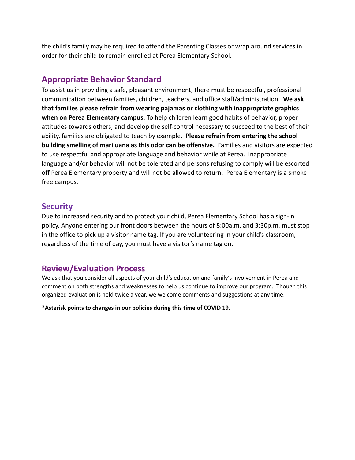the child's family may be required to attend the Parenting Classes or wrap around services in order for their child to remain enrolled at Perea Elementary School.

# **Appropriate Behavior Standard**

To assist us in providing a safe, pleasant environment, there must be respectful, professional communication between families, children, teachers, and office staff/administration. **We ask that families please refrain from wearing pajamas or clothing with inappropriate graphics when on Perea Elementary campus.** To help children learn good habits of behavior, proper attitudes towards others, and develop the self-control necessary to succeed to the best of their ability, families are obligated to teach by example. **Please refrain from entering the school building smelling of marijuana as this odor can be offensive.** Families and visitors are expected to use respectful and appropriate language and behavior while at Perea. Inappropriate language and/or behavior will not be tolerated and persons refusing to comply will be escorted off Perea Elementary property and will not be allowed to return. Perea Elementary is a smoke free campus.

# **Security**

Due to increased security and to protect your child, Perea Elementary School has a sign-in policy. Anyone entering our front doors between the hours of 8:00a.m. and 3:30p.m. must stop in the office to pick up a visitor name tag. If you are volunteering in your child's classroom, regardless of the time of day, you must have a visitor's name tag on.

# **Review/Evaluation Process**

We ask that you consider all aspects of your child's education and family's involvement in Perea and comment on both strengths and weaknesses to help us continue to improve our program. Though this organized evaluation is held twice a year, we welcome comments and suggestions at any time.

**\*Asterisk points to changes in our policies during this time of COVID 19.**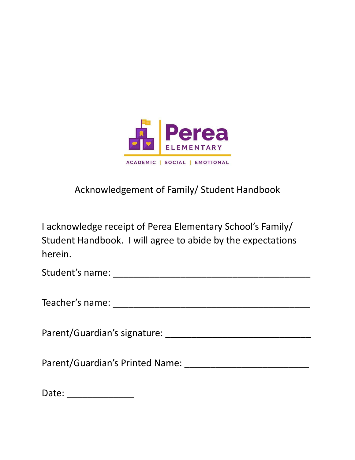

# Acknowledgement of Family/ Student Handbook

I acknowledge receipt of Perea Elementary School's Family/ Student Handbook. I will agree to abide by the expectations herein.

Student's name: \_\_\_\_\_\_\_\_\_\_\_\_\_\_\_\_\_\_\_\_\_\_\_\_\_\_\_\_\_\_\_\_\_\_\_\_\_\_

Teacher's name: \_\_\_\_\_\_\_\_\_\_\_\_\_\_\_\_\_\_\_\_\_\_\_\_\_\_\_\_\_\_\_\_\_\_\_\_\_\_

Parent/Guardian's signature: \_\_\_\_\_\_\_\_\_\_\_\_\_\_\_\_\_\_\_\_\_\_\_\_\_\_\_\_

Parent/Guardian's Printed Name: \_\_\_\_\_\_\_\_\_\_\_\_\_\_\_\_\_\_\_\_\_\_\_\_

Date: